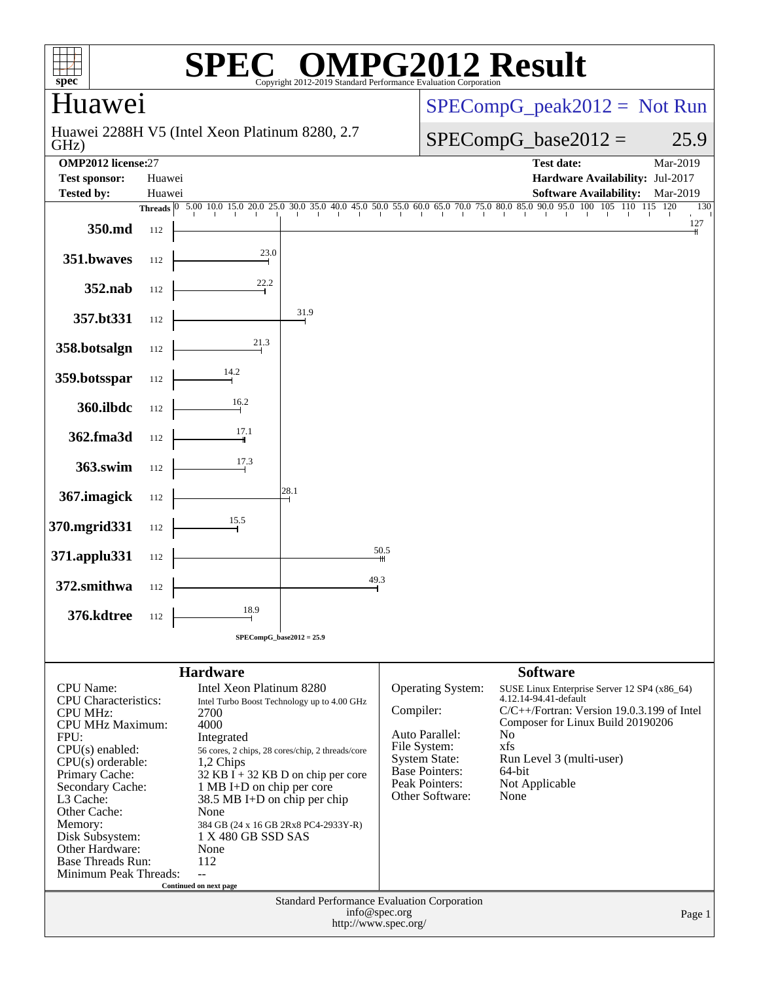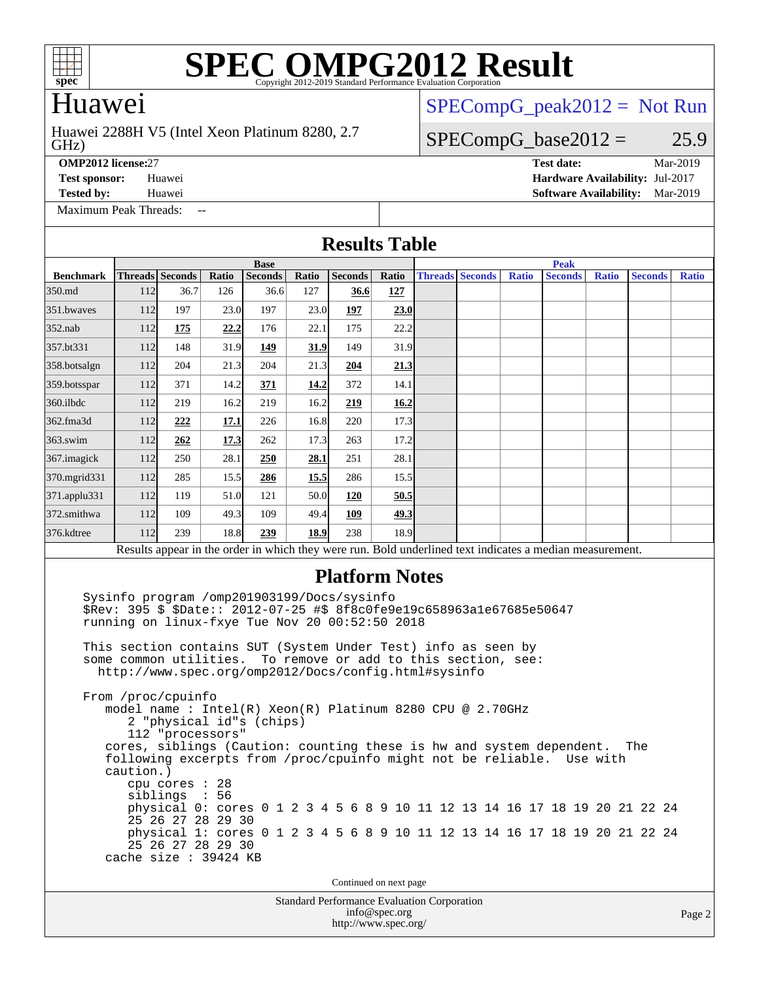

## Huawei

#### GHz) Huawei 2288H V5 (Intel Xeon Platinum 8280, 2.7

 $SPECompG_peak2012 = Not Run$  $SPECompG_peak2012 = Not Run$ 

### $SPECompG_base2012 = 25.9$  $SPECompG_base2012 = 25.9$

[Maximum Peak Threads:](http://www.spec.org/auto/omp2012/Docs/result-fields.html#MaximumPeakThreads)

**[OMP2012 license:](http://www.spec.org/auto/omp2012/Docs/result-fields.html#OMP2012license)**27 **[Test date:](http://www.spec.org/auto/omp2012/Docs/result-fields.html#Testdate)** Mar-2019 **[Test sponsor:](http://www.spec.org/auto/omp2012/Docs/result-fields.html#Testsponsor)** Huawei **[Hardware Availability:](http://www.spec.org/auto/omp2012/Docs/result-fields.html#HardwareAvailability)** Jul-2017 **[Tested by:](http://www.spec.org/auto/omp2012/Docs/result-fields.html#Testedby)** Huawei **[Software Availability:](http://www.spec.org/auto/omp2012/Docs/result-fields.html#SoftwareAvailability)** Mar-2019

#### Standard Performance Evaluation Corporation [info@spec.org](mailto:info@spec.org) Page 2 **[Results Table](http://www.spec.org/auto/omp2012/Docs/result-fields.html#ResultsTable) [Benchmark](http://www.spec.org/auto/omp2012/Docs/result-fields.html#Benchmark) [Threads](http://www.spec.org/auto/omp2012/Docs/result-fields.html#Threads) [Seconds](http://www.spec.org/auto/omp2012/Docs/result-fields.html#Seconds) [Ratio](http://www.spec.org/auto/omp2012/Docs/result-fields.html#Ratio) [Seconds](http://www.spec.org/auto/omp2012/Docs/result-fields.html#Seconds) [Ratio](http://www.spec.org/auto/omp2012/Docs/result-fields.html#Ratio) [Seconds](http://www.spec.org/auto/omp2012/Docs/result-fields.html#Seconds) [Ratio](http://www.spec.org/auto/omp2012/Docs/result-fields.html#Ratio) Base [Threads](http://www.spec.org/auto/omp2012/Docs/result-fields.html#Threads) [Seconds](http://www.spec.org/auto/omp2012/Docs/result-fields.html#Seconds) [Ratio](http://www.spec.org/auto/omp2012/Docs/result-fields.html#Ratio) [Seconds](http://www.spec.org/auto/omp2012/Docs/result-fields.html#Seconds) [Ratio](http://www.spec.org/auto/omp2012/Docs/result-fields.html#Ratio) [Seconds](http://www.spec.org/auto/omp2012/Docs/result-fields.html#Seconds) [Ratio](http://www.spec.org/auto/omp2012/Docs/result-fields.html#Ratio) Peak** [350.md](http://www.spec.org/auto/omp2012/Docs/350.md.html) 112 36.7 126 36.6 127 **[36.6](http://www.spec.org/auto/omp2012/Docs/result-fields.html#Median) [127](http://www.spec.org/auto/omp2012/Docs/result-fields.html#Median)** [351.bwaves](http://www.spec.org/auto/omp2012/Docs/351.bwaves.html) 112 197 23.0 197 23.0 **[197](http://www.spec.org/auto/omp2012/Docs/result-fields.html#Median) [23.0](http://www.spec.org/auto/omp2012/Docs/result-fields.html#Median)** [352.nab](http://www.spec.org/auto/omp2012/Docs/352.nab.html) 112 **[175](http://www.spec.org/auto/omp2012/Docs/result-fields.html#Median) [22.2](http://www.spec.org/auto/omp2012/Docs/result-fields.html#Median)** 176 22.1 175 22.2 [357.bt331](http://www.spec.org/auto/omp2012/Docs/357.bt331.html) 112 148 31.9 **[149](http://www.spec.org/auto/omp2012/Docs/result-fields.html#Median) [31.9](http://www.spec.org/auto/omp2012/Docs/result-fields.html#Median)** 149 31.9 [358.botsalgn](http://www.spec.org/auto/omp2012/Docs/358.botsalgn.html) 112 204 21.3 204 21.3 **[204](http://www.spec.org/auto/omp2012/Docs/result-fields.html#Median) [21.3](http://www.spec.org/auto/omp2012/Docs/result-fields.html#Median)** [359.botsspar](http://www.spec.org/auto/omp2012/Docs/359.botsspar.html) 112 371 14.2 **[371](http://www.spec.org/auto/omp2012/Docs/result-fields.html#Median) [14.2](http://www.spec.org/auto/omp2012/Docs/result-fields.html#Median)** 372 14.1 [360.ilbdc](http://www.spec.org/auto/omp2012/Docs/360.ilbdc.html) 112 219 16.2 219 16.2 **[219](http://www.spec.org/auto/omp2012/Docs/result-fields.html#Median) [16.2](http://www.spec.org/auto/omp2012/Docs/result-fields.html#Median)** [362.fma3d](http://www.spec.org/auto/omp2012/Docs/362.fma3d.html) 112 **[222](http://www.spec.org/auto/omp2012/Docs/result-fields.html#Median) [17.1](http://www.spec.org/auto/omp2012/Docs/result-fields.html#Median)** 226 16.8 220 17.3 [363.swim](http://www.spec.org/auto/omp2012/Docs/363.swim.html) 112 **[262](http://www.spec.org/auto/omp2012/Docs/result-fields.html#Median) [17.3](http://www.spec.org/auto/omp2012/Docs/result-fields.html#Median)** 262 17.3 263 17.2 [367.imagick](http://www.spec.org/auto/omp2012/Docs/367.imagick.html) 112 250 28.1 **[250](http://www.spec.org/auto/omp2012/Docs/result-fields.html#Median) [28.1](http://www.spec.org/auto/omp2012/Docs/result-fields.html#Median)** 251 28.1 [370.mgrid331](http://www.spec.org/auto/omp2012/Docs/370.mgrid331.html) 112 285 15.5 **[286](http://www.spec.org/auto/omp2012/Docs/result-fields.html#Median) [15.5](http://www.spec.org/auto/omp2012/Docs/result-fields.html#Median)** 286 15.5 [371.applu331](http://www.spec.org/auto/omp2012/Docs/371.applu331.html) 112 119 51.0 121 50.0 **[120](http://www.spec.org/auto/omp2012/Docs/result-fields.html#Median) [50.5](http://www.spec.org/auto/omp2012/Docs/result-fields.html#Median)** [372.smithwa](http://www.spec.org/auto/omp2012/Docs/372.smithwa.html) 112 109 49.3 109 49.4 **[109](http://www.spec.org/auto/omp2012/Docs/result-fields.html#Median) [49.3](http://www.spec.org/auto/omp2012/Docs/result-fields.html#Median)** [376.kdtree](http://www.spec.org/auto/omp2012/Docs/376.kdtree.html) 112 239 18.8 **[239](http://www.spec.org/auto/omp2012/Docs/result-fields.html#Median) [18.9](http://www.spec.org/auto/omp2012/Docs/result-fields.html#Median)** 238 18.9 Results appear in the [order in which they were run.](http://www.spec.org/auto/omp2012/Docs/result-fields.html#RunOrder) Bold underlined text [indicates a median measurement.](http://www.spec.org/auto/omp2012/Docs/result-fields.html#Median) **[Platform Notes](http://www.spec.org/auto/omp2012/Docs/result-fields.html#PlatformNotes)** Sysinfo program /omp201903199/Docs/sysinfo \$Rev: 395 \$ \$Date:: 2012-07-25 #\$ 8f8c0fe9e19c658963a1e67685e50647 running on linux-fxye Tue Nov 20 00:52:50 2018 This section contains SUT (System Under Test) info as seen by some common utilities. To remove or add to this section, see: <http://www.spec.org/omp2012/Docs/config.html#sysinfo> From /proc/cpuinfo model name : Intel(R) Xeon(R) Platinum 8280 CPU @ 2.70GHz 2 "physical id"s (chips) 112 "processors" cores, siblings (Caution: counting these is hw and system dependent. The following excerpts from /proc/cpuinfo might not be reliable. Use with caution.) cpu cores : 28 siblings : 56 physical 0: cores 0 1 2 3 4 5 6 8 9 10 11 12 13 14 16 17 18 19 20 21 22 24 25 26 27 28 29 30 physical 1: cores 0 1 2 3 4 5 6 8 9 10 11 12 13 14 16 17 18 19 20 21 22 24 25 26 27 28 29 30 cache size : 39424 KB Continued on next page

<http://www.spec.org/>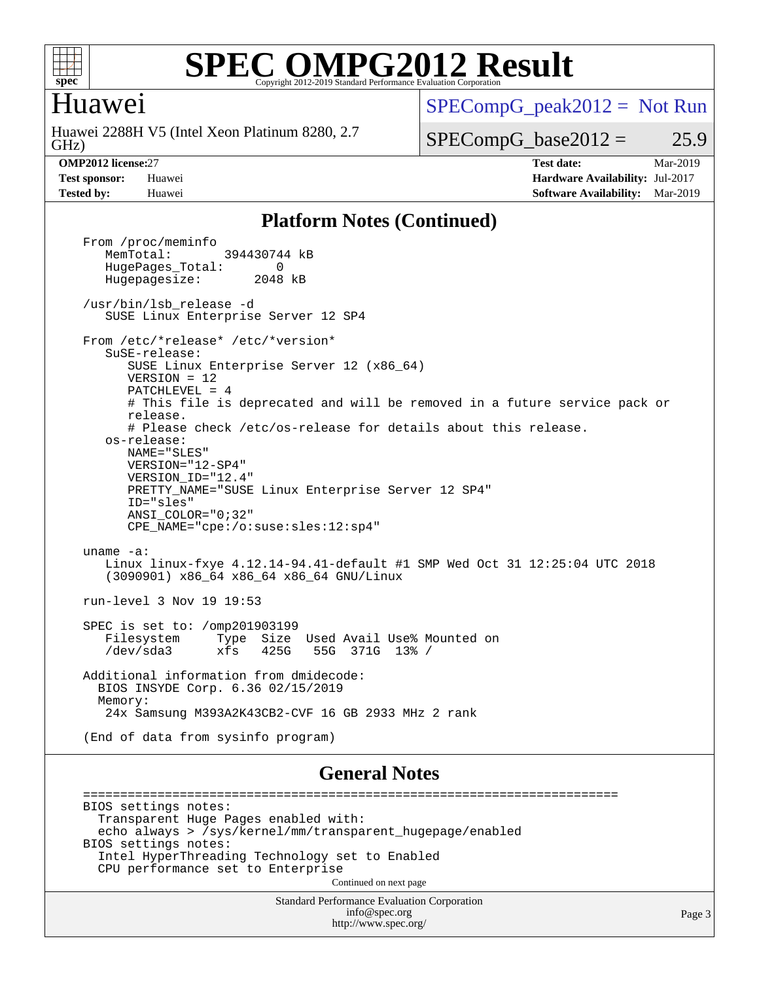

### Huawei

GHz) Huawei 2288H V5 (Intel Xeon Platinum 8280, 2.7  $SPECompG_peak2012 = Not Run$  $SPECompG_peak2012 = Not Run$ 

### $SPECompG_base2012 = 25.9$  $SPECompG_base2012 = 25.9$

**[OMP2012 license:](http://www.spec.org/auto/omp2012/Docs/result-fields.html#OMP2012license)**27 **[Test date:](http://www.spec.org/auto/omp2012/Docs/result-fields.html#Testdate)** Mar-2019 **[Test sponsor:](http://www.spec.org/auto/omp2012/Docs/result-fields.html#Testsponsor)** Huawei **[Hardware Availability:](http://www.spec.org/auto/omp2012/Docs/result-fields.html#HardwareAvailability)** Jul-2017 **[Tested by:](http://www.spec.org/auto/omp2012/Docs/result-fields.html#Testedby)** Huawei **[Software Availability:](http://www.spec.org/auto/omp2012/Docs/result-fields.html#SoftwareAvailability)** Mar-2019

#### **[Platform Notes \(Continued\)](http://www.spec.org/auto/omp2012/Docs/result-fields.html#PlatformNotes)**

Standard Performance Evaluation Corporation [info@spec.org](mailto:info@spec.org) From /proc/meminfo<br>MemTotal: 394430744 kB HugePages\_Total: 0<br>Hugepagesize: 2048 kB Hugepagesize: /usr/bin/lsb\_release -d SUSE Linux Enterprise Server 12 SP4 From /etc/\*release\* /etc/\*version\* SuSE-release: SUSE Linux Enterprise Server 12 (x86\_64) VERSION = 12 PATCHLEVEL = 4 # This file is deprecated and will be removed in a future service pack or release. # Please check /etc/os-release for details about this release. os-release: NAME="SLES" VERSION="12-SP4" VERSION\_ID="12.4" PRETTY\_NAME="SUSE Linux Enterprise Server 12 SP4" ID="sles" ANSI\_COLOR="0;32" CPE\_NAME="cpe:/o:suse:sles:12:sp4" uname -a: Linux linux-fxye 4.12.14-94.41-default #1 SMP Wed Oct 31 12:25:04 UTC 2018 (3090901) x86\_64 x86\_64 x86\_64 GNU/Linux run-level 3 Nov 19 19:53 SPEC is set to: /omp201903199 Filesystem Type Size Used Avail Use% Mounted on /dev/sda3 xfs 425G 55G 371G 13% / Additional information from dmidecode: BIOS INSYDE Corp. 6.36 02/15/2019 Memory: 24x Samsung M393A2K43CB2-CVF 16 GB 2933 MHz 2 rank (End of data from sysinfo program) **[General Notes](http://www.spec.org/auto/omp2012/Docs/result-fields.html#GeneralNotes)** ======================================================================== BIOS settings notes: Transparent Huge Pages enabled with: echo always > /sys/kernel/mm/transparent\_hugepage/enabled BIOS settings notes: Intel HyperThreading Technology set to Enabled CPU performance set to Enterprise Continued on next page

<http://www.spec.org/>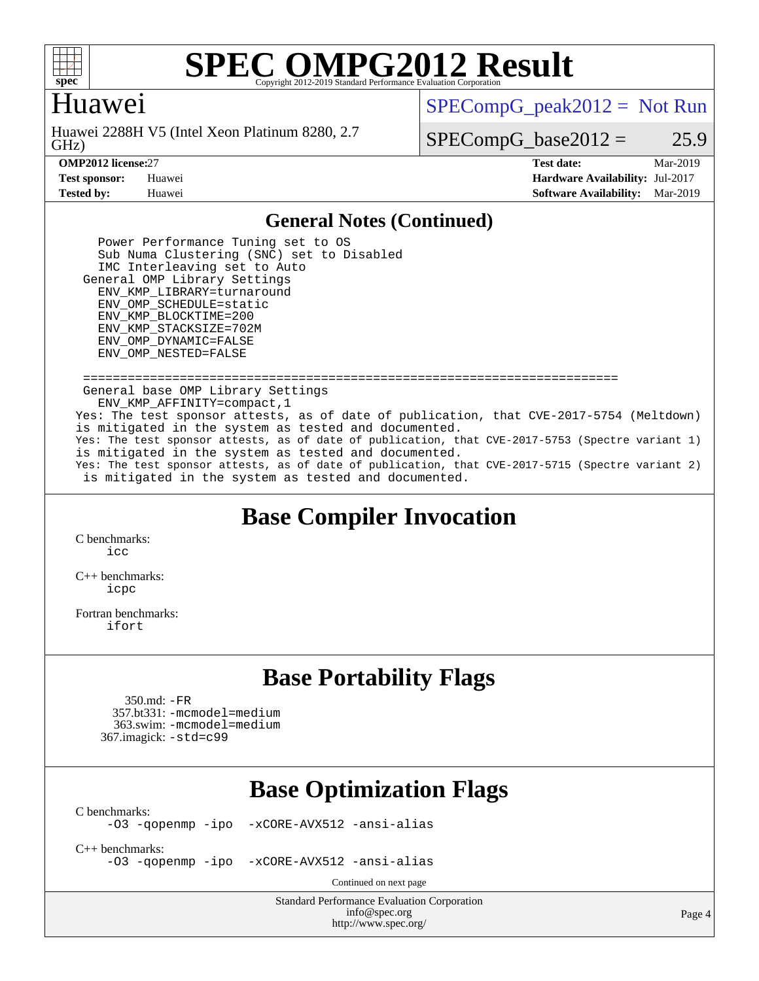

## Huawei

GHz) Huawei 2288H V5 (Intel Xeon Platinum 8280, 2.7  $SPECompG_peak2012 = Not Run$  $SPECompG_peak2012 = Not Run$ 

 $SPECompG_base2012 = 25.9$  $SPECompG_base2012 = 25.9$ 

**[OMP2012 license:](http://www.spec.org/auto/omp2012/Docs/result-fields.html#OMP2012license)**27 **[Test date:](http://www.spec.org/auto/omp2012/Docs/result-fields.html#Testdate)** Mar-2019 **[Test sponsor:](http://www.spec.org/auto/omp2012/Docs/result-fields.html#Testsponsor)** Huawei **[Hardware Availability:](http://www.spec.org/auto/omp2012/Docs/result-fields.html#HardwareAvailability)** Jul-2017 **[Tested by:](http://www.spec.org/auto/omp2012/Docs/result-fields.html#Testedby)** Huawei **[Software Availability:](http://www.spec.org/auto/omp2012/Docs/result-fields.html#SoftwareAvailability)** Mar-2019

#### **[General Notes \(Continued\)](http://www.spec.org/auto/omp2012/Docs/result-fields.html#GeneralNotes)**

 Power Performance Tuning set to OS Sub Numa Clustering (SNC) set to Disabled IMC Interleaving set to Auto General OMP Library Settings ENV\_KMP\_LIBRARY=turnaround ENV\_OMP\_SCHEDULE=static ENV\_KMP\_BLOCKTIME=200 ENV\_KMP\_STACKSIZE=702M ENV\_OMP\_DYNAMIC=FALSE ENV\_OMP\_NESTED=FALSE

 ======================================================================== General base OMP Library Settings ENV\_KMP\_AFFINITY=compact,1 Yes: The test sponsor attests, as of date of publication, that CVE-2017-5754 (Meltdown) is mitigated in the system as tested and documented. Yes: The test sponsor attests, as of date of publication, that CVE-2017-5753 (Spectre variant 1) is mitigated in the system as tested and documented. Yes: The test sponsor attests, as of date of publication, that CVE-2017-5715 (Spectre variant 2) is mitigated in the system as tested and documented.

## **[Base Compiler Invocation](http://www.spec.org/auto/omp2012/Docs/result-fields.html#BaseCompilerInvocation)**

[C benchmarks](http://www.spec.org/auto/omp2012/Docs/result-fields.html#Cbenchmarks):  $i$ 

[C++ benchmarks:](http://www.spec.org/auto/omp2012/Docs/result-fields.html#CXXbenchmarks) [icpc](http://www.spec.org/omp2012/results/res2019q2/omp2012-20190312-00162.flags.html#user_CXXbase_intel_icpc_2d899f8d163502b12eb4a60069f80c1c)

[Fortran benchmarks](http://www.spec.org/auto/omp2012/Docs/result-fields.html#Fortranbenchmarks): [ifort](http://www.spec.org/omp2012/results/res2019q2/omp2012-20190312-00162.flags.html#user_FCbase_intel_ifort_8a5e5e06b19a251bdeaf8fdab5d62f20)

## **[Base Portability Flags](http://www.spec.org/auto/omp2012/Docs/result-fields.html#BasePortabilityFlags)**

 350.md: [-FR](http://www.spec.org/omp2012/results/res2019q2/omp2012-20190312-00162.flags.html#user_baseFPORTABILITY350_md_f-FR) 357.bt331: [-mcmodel=medium](http://www.spec.org/omp2012/results/res2019q2/omp2012-20190312-00162.flags.html#user_basePORTABILITY357_bt331_f-mcmodel_3a41622424bdd074c4f0f2d2f224c7e5) 363.swim: [-mcmodel=medium](http://www.spec.org/omp2012/results/res2019q2/omp2012-20190312-00162.flags.html#user_basePORTABILITY363_swim_f-mcmodel_3a41622424bdd074c4f0f2d2f224c7e5) 367.imagick: [-std=c99](http://www.spec.org/omp2012/results/res2019q2/omp2012-20190312-00162.flags.html#user_baseCPORTABILITY367_imagick_f-std_2ec6533b6e06f1c4a6c9b78d9e9cde24)

## **[Base Optimization Flags](http://www.spec.org/auto/omp2012/Docs/result-fields.html#BaseOptimizationFlags)**

[C benchmarks](http://www.spec.org/auto/omp2012/Docs/result-fields.html#Cbenchmarks):<br>-03 -qopenmp -ipo

[-xCORE-AVX512](http://www.spec.org/omp2012/results/res2019q2/omp2012-20190312-00162.flags.html#user_CCbase_f-xCORE-AVX512) [-ansi-alias](http://www.spec.org/omp2012/results/res2019q2/omp2012-20190312-00162.flags.html#user_CCbase_f-ansi-alias)

[C++ benchmarks:](http://www.spec.org/auto/omp2012/Docs/result-fields.html#CXXbenchmarks)

[-O3](http://www.spec.org/omp2012/results/res2019q2/omp2012-20190312-00162.flags.html#user_CXXbase_f-O3) [-qopenmp](http://www.spec.org/omp2012/results/res2019q2/omp2012-20190312-00162.flags.html#user_CXXbase_f-qopenmp) [-ipo](http://www.spec.org/omp2012/results/res2019q2/omp2012-20190312-00162.flags.html#user_CXXbase_f-ipo_84062ab53814f613187d02344b8f49a7) [-xCORE-AVX512](http://www.spec.org/omp2012/results/res2019q2/omp2012-20190312-00162.flags.html#user_CXXbase_f-xCORE-AVX512) [-ansi-alias](http://www.spec.org/omp2012/results/res2019q2/omp2012-20190312-00162.flags.html#user_CXXbase_f-ansi-alias)

Continued on next page

Standard Performance Evaluation Corporation [info@spec.org](mailto:info@spec.org) <http://www.spec.org/>